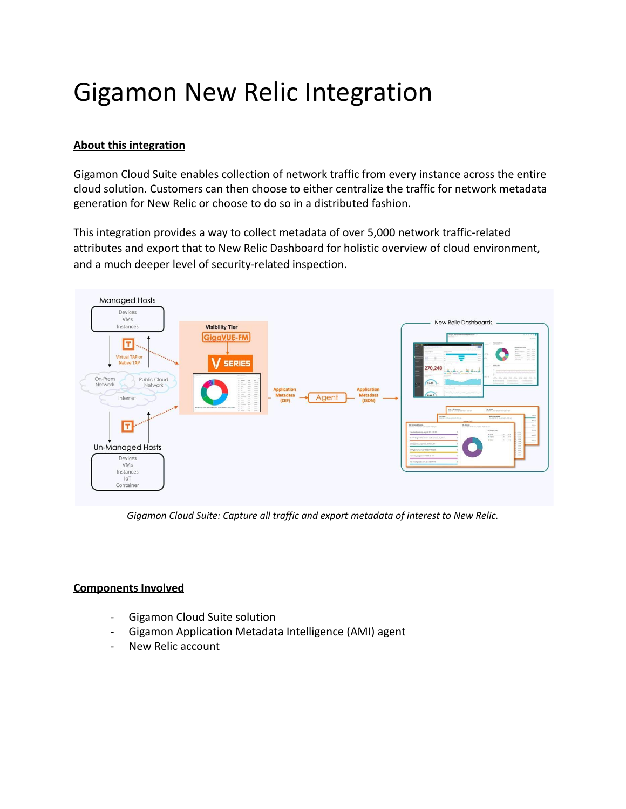## Gigamon New Relic Integration

## **About this integration**

Gigamon Cloud Suite enables collection of network traffic from every instance across the entire cloud solution. Customers can then choose to either centralize the traffic for network metadata generation for New Relic or choose to do so in a distributed fashion.

This integration provides a way to collect metadata of over 5,000 network traffic-related attributes and export that to New Relic Dashboard for holistic overview of cloud environment, and a much deeper level of security-related inspection.



*Gigamon Cloud Suite: Capture all traffic and export metadata of interest to New Relic.*

## **Components Involved**

- Gigamon Cloud Suite solution
- Gigamon Application Metadata Intelligence (AMI) agent
- New Relic account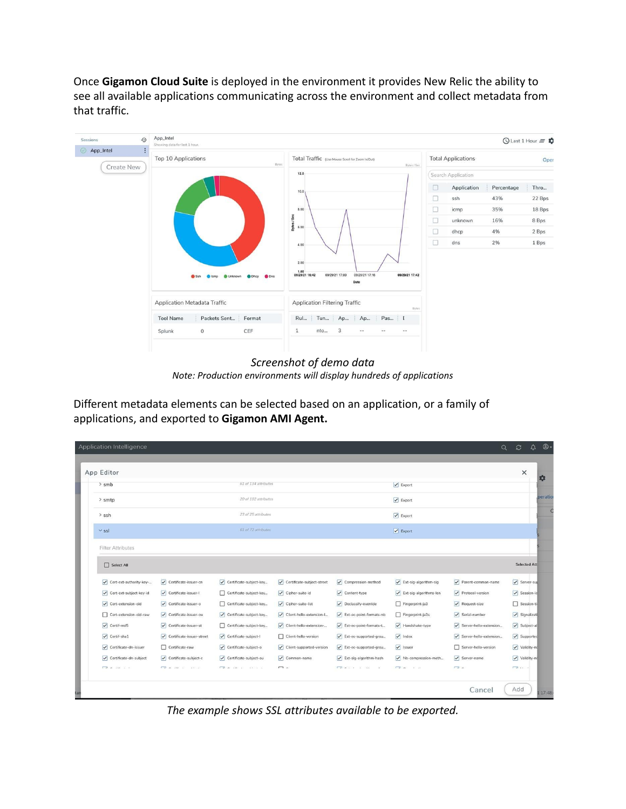Once **Gigamon Cloud Suite** is deployed in the environment it provides New Relic the ability to see all available applications communicating across the environment and collect metadata from that traffic.



*Screenshot of demo data Note: Production environments will display hundreds of applications*

Different metadata elements can be selected based on an application, or a family of applications, and exported to **Gigamon AMI Agent.**

| App Editor                        |                            |                              |                                                 |                                                                                                                                                                                                                                                                                                                                                                                                                                      |                                             |                                   | $\times$                         |
|-----------------------------------|----------------------------|------------------------------|-------------------------------------------------|--------------------------------------------------------------------------------------------------------------------------------------------------------------------------------------------------------------------------------------------------------------------------------------------------------------------------------------------------------------------------------------------------------------------------------------|---------------------------------------------|-----------------------------------|----------------------------------|
| $>$ smb                           | 61 of 134 attributes       |                              |                                                 |                                                                                                                                                                                                                                                                                                                                                                                                                                      | $\vert\mathbf{v}\vert$ Export               |                                   |                                  |
| > smtp                            | 20 of 102 attributes       |                              |                                                 |                                                                                                                                                                                                                                                                                                                                                                                                                                      | $\triangledown$ Export                      |                                   |                                  |
| $>$ ssh                           | 23 of 25 attributes        |                              |                                                 |                                                                                                                                                                                                                                                                                                                                                                                                                                      | $\triangledown$ Export                      |                                   |                                  |
| $\vee$ ssl                        | 61 of 72 attributes        |                              |                                                 |                                                                                                                                                                                                                                                                                                                                                                                                                                      | $\boxed{\checkmark}$ Export                 |                                   |                                  |
| <b>Filter Attributes</b>          |                            |                              |                                                 |                                                                                                                                                                                                                                                                                                                                                                                                                                      |                                             |                                   |                                  |
| $\Box$ Select All                 |                            |                              |                                                 |                                                                                                                                                                                                                                                                                                                                                                                                                                      |                                             |                                   | <b>Selected Att</b>              |
| Cert-ext-authority-key-           | Certificate-issuer-cn      | Certificate-subject-key      | $\boxed{\checkmark}$ Certificate-subject-street | $\sqrt{\phantom{a}}$ Compression-method                                                                                                                                                                                                                                                                                                                                                                                              | $\sqrt{\phantom{a}}$ Ext-sig-algorithm-sig  | Parent-common-name                | Server-sup                       |
| Cert-ext-subject-key-id           | Certificate-issuer-l       | Certificate-subject-key      | Cipher-suite-id                                 | ✔ Content-type                                                                                                                                                                                                                                                                                                                                                                                                                       | $\sqrt{\phantom{a}}$ Ext-sig-algorithms-len | Protocol-version                  | $\triangledown$ Session-ic       |
| ✔ Cert-extension-oid              | Certificate-issuer-o       | Certificate-subject-key      | $\sqrt{\phantom{a}}$ Cipher-suite-list          | $\nabla$ Declassify-override                                                                                                                                                                                                                                                                                                                                                                                                         | Fingerprint-ja3                             | $\sqrt{\phantom{a}}$ Request-size | □ Session-ti                     |
| Cert-extension-oid-raw            | Certificate-issuer-ou      | Certificate-subject-key      | $\sqrt{\phantom{a}}$ Client-hello-extension-l   | Ext-ec-point-formats-nb                                                                                                                                                                                                                                                                                                                                                                                                              | Fingerprint-ja3s                            | Serial-number                     | $\sqrt{\phantom{a}}$ Signalizati |
| $\sqrt{\phantom{a}}$ Certif-md5   | Certificate-issuer-st      | Certificate-subject-key      | Client-hello-extension-                         | Ext-ec-point-formats-t                                                                                                                                                                                                                                                                                                                                                                                                               | Handshake-type                              | Server-hello-extension            | $\sqrt{\phantom{a}}$ Subject-al  |
| $\sqrt{\phantom{a}}$ Certif-shall | Certificate-issuer-street  | Certificate-subject-I        | Client-hello-version                            | Ext-ec-supported-grou                                                                                                                                                                                                                                                                                                                                                                                                                | $\sqrt{\phantom{a}}$ Index                  | Server-hello-extension            | Supported                        |
| √ Certificate-dn-issuer           | Certificate-raw            | Certificate-subject-o        | Client-supported-version                        | Ext-ec-supported-grou                                                                                                                                                                                                                                                                                                                                                                                                                | $\sqrt{\phantom{a}}$ Issuer                 | Server-hello-version              | Validity-no                      |
| Certificate-dn-subject            | Certificate-subject-c      | Certificate-subject-ou       | $\sqrt{\ }$ Common-name                         | Ext-sig-algorithm-hash                                                                                                                                                                                                                                                                                                                                                                                                               | Nb-compression-meth                         | Server-name                       | Validity-no                      |
| $\Box$ a section                  | College and the college of | Collection of the collection | $\Box$                                          | $\begin{array}{ccccccccccccc} \textbf{1} & \textbf{1} & \textbf{1} & \textbf{1} & \textbf{1} & \textbf{1} & \textbf{1} & \textbf{1} & \textbf{1} & \textbf{1} & \textbf{1} & \textbf{1} & \textbf{1} & \textbf{1} & \textbf{1} & \textbf{1} & \textbf{1} & \textbf{1} & \textbf{1} & \textbf{1} & \textbf{1} & \textbf{1} & \textbf{1} & \textbf{1} & \textbf{1} & \textbf{1} & \textbf{1} & \textbf{1} & \textbf{1} & \textbf{1} &$ | $\sqrt{2}$ $\sqrt{2}$ $\sqrt{2}$            | $\Box$                            | $\sqrt{-1}$ and $\sqrt{-1}$      |

*The example shows SSL attributes available to be exported.*